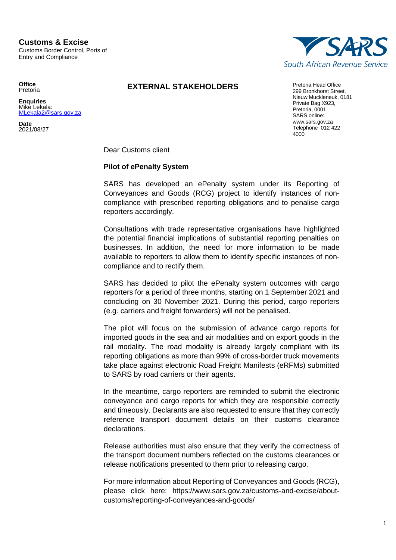@sars.gov.za

**Office** Pretoria **Enquiries** Mike Lekala:<br>MLekala2@s

**Date** 2021/08/27



**EXTERNAL STAKEHOLDERS** Pretoria Head Office

299 Bronkhorst Street, Nieuw Muckleneuk, 0181 Private Bag X923, Pretoria, 0001 SARS online: www.sars.gov.za Telephone 012 422 4000

Dear Customs client

## **Pilot of ePenalty System**

SARS has developed an ePenalty system under its Reporting of Conveyances and Goods (RCG) project to identify instances of noncompliance with prescribed reporting obligations and to penalise cargo reporters accordingly.

Consultations with trade representative organisations have highlighted the potential financial implications of substantial reporting penalties on businesses. In addition, the need for more information to be made available to reporters to allow them to identify specific instances of noncompliance and to rectify them.

SARS has decided to pilot the ePenalty system outcomes with cargo reporters for a period of three months, starting on 1 September 2021 and concluding on 30 November 2021. During this period, cargo reporters (e.g. carriers and freight forwarders) will not be penalised.

The pilot will focus on the submission of advance cargo reports for imported goods in the sea and air modalities and on export goods in the rail modality. The road modality is already largely compliant with its reporting obligations as more than 99% of cross-border truck movements take place against electronic Road Freight Manifests (eRFMs) submitted to SARS by road carriers or their agents.

In the meantime, cargo reporters are reminded to submit the electronic conveyance and cargo reports for which they are responsible correctly and timeously. Declarants are also requested to ensure that they correctly reference transport document details on their customs clearance declarations.

Release authorities must also ensure that they verify the correctness of the transport document numbers reflected on the customs clearances or release notifications presented to them prior to releasing cargo.

For more information about Reporting of Conveyances and Goods (RCG), please click here: https://www.sars.gov.za/customs-and-excise/aboutcustoms/reporting-of-conveyances-and-goods/